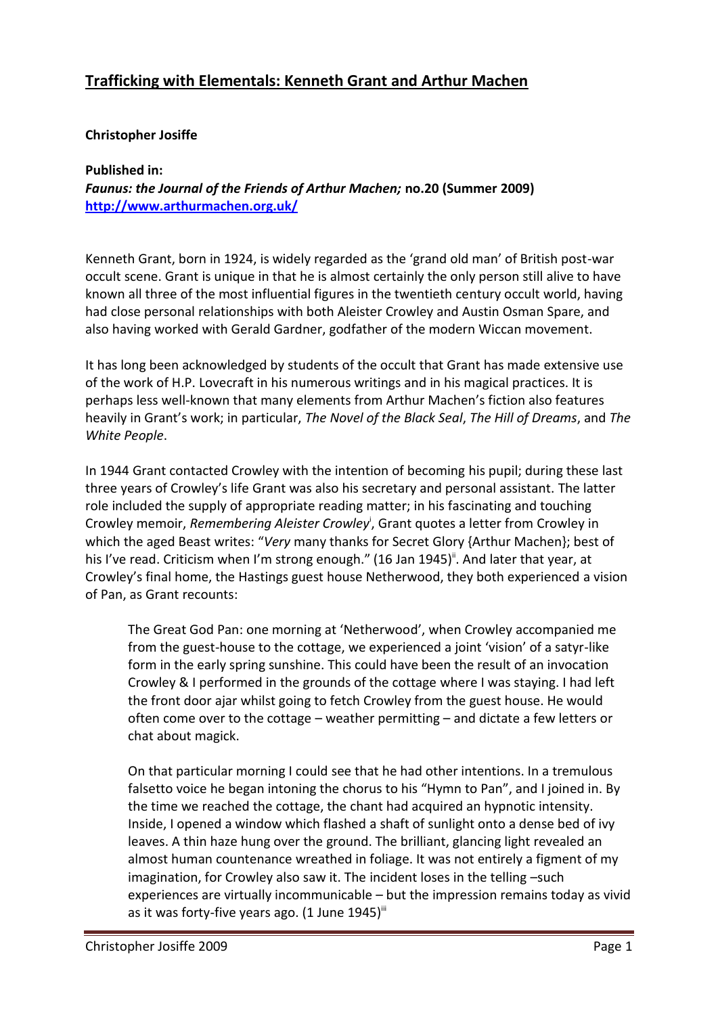# **Trafficking with Elementals: Kenneth Grant and Arthur Machen**

#### **Christopher Josiffe**

#### **Published in:** *Faunus: the Journal of the Friends of Arthur Machen;* **no.20 (Summer 2009) <http://www.arthurmachen.org.uk/>**

Kenneth Grant, born in 1924, is widely regarded as the 'grand old man' of British post-war occult scene. Grant is unique in that he is almost certainly the only person still alive to have known all three of the most influential figures in the twentieth century occult world, having had close personal relationships with both Aleister Crowley and Austin Osman Spare, and also having worked with Gerald Gardner, godfather of the modern Wiccan movement.

It has long been acknowledged by students of the occult that Grant has made extensive use of the work of H.P. Lovecraft in his numerous writings and in his magical practices. It is perhaps less well-known that many elements from Arthur Machen's fiction also features heavily in Grant's work; in particular, *The Novel of the Black Seal*, *The Hill of Dreams*, and *The White People*.

In 1944 Grant contacted Crowley with the intention of becoming his pupil; during these last three years of Crowley's life Grant was also his secretary and personal assistant. The latter role included the supply of appropriate reading matter; in his fascinating and touching Crowley memoir, *Remembering Aleister Crowley*<sup>i</sup> , Grant quotes a letter from Crowley in which the aged Beast writes: "*Very* many thanks for Secret Glory {Arthur Machen}; best of his I've read. Criticism when I'm strong enough." (16 Jan 1945)<sup>"</sup>. And later that year, at Crowley's final home, the Hastings guest house Netherwood, they both experienced a vision of Pan, as Grant recounts:

The Great God Pan: one morning at 'Netherwood', when Crowley accompanied me from the guest-house to the cottage, we experienced a joint 'vision' of a satyr-like form in the early spring sunshine. This could have been the result of an invocation Crowley & I performed in the grounds of the cottage where I was staying. I had left the front door ajar whilst going to fetch Crowley from the guest house. He would often come over to the cottage – weather permitting – and dictate a few letters or chat about magick.

On that particular morning I could see that he had other intentions. In a tremulous falsetto voice he began intoning the chorus to his "Hymn to Pan", and I joined in. By the time we reached the cottage, the chant had acquired an hypnotic intensity. Inside, I opened a window which flashed a shaft of sunlight onto a dense bed of ivy leaves. A thin haze hung over the ground. The brilliant, glancing light revealed an almost human countenance wreathed in foliage. It was not entirely a figment of my imagination, for Crowley also saw it. The incident loses in the telling –such experiences are virtually incommunicable – but the impression remains today as vivid as it was forty-five years ago.  $(1 \text{ June } 1945)^{\text{iii}}$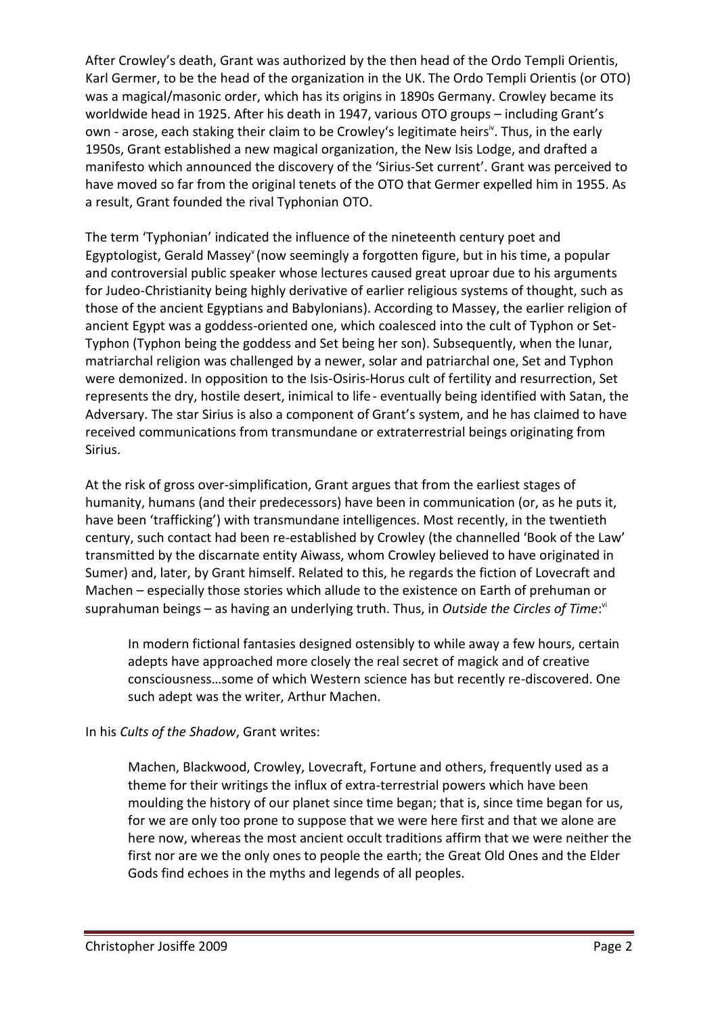After Crowley's death, Grant was authorized by the then head of the Ordo Templi Orientis, Karl Germer, to be the head of the organization in the UK. The Ordo Templi Orientis (or OTO) was a magical/masonic order, which has its origins in 1890s Germany. Crowley became its worldwide head in 1925. After his death in 1947, various OTO groups – including Grant's own - arose, each staking their claim to be Crowley's legitimate heirs<sup>iv</sup>. Thus, in the early 1950s, Grant established a new magical organization, the New Isis Lodge, and drafted a manifesto which announced the discovery of the 'Sirius-Set current'. Grant was perceived to have moved so far from the original tenets of the OTO that Germer expelled him in 1955. As a result, Grant founded the rival Typhonian OTO.

The term 'Typhonian' indicated the influence of the nineteenth century poet and Egyptologist, Gerald Massey (now seemingly a forgotten figure, but in his time, a popular and controversial public speaker whose lectures caused great uproar due to his arguments for Judeo-Christianity being highly derivative of earlier religious systems of thought, such as those of the ancient Egyptians and Babylonians). According to Massey, the earlier religion of ancient Egypt was a goddess-oriented one, which coalesced into the cult of Typhon or Set-Typhon (Typhon being the goddess and Set being her son). Subsequently, when the lunar, matriarchal religion was challenged by a newer, solar and patriarchal one, Set and Typhon were demonized. In opposition to the Isis-Osiris-Horus cult of fertility and resurrection, Set represents the dry, hostile desert, inimical to life- eventually being identified with Satan, the Adversary. The star Sirius is also a component of Grant's system, and he has claimed to have received communications from transmundane or extraterrestrial beings originating from Sirius.

At the risk of gross over-simplification, Grant argues that from the earliest stages of humanity, humans (and their predecessors) have been in communication (or, as he puts it, have been 'trafficking') with transmundane intelligences. Most recently, in the twentieth century, such contact had been re-established by Crowley (the channelled 'Book of the Law' transmitted by the discarnate entity Aiwass, whom Crowley believed to have originated in Sumer) and, later, by Grant himself. Related to this, he regards the fiction of Lovecraft and Machen – especially those stories which allude to the existence on Earth of prehuman or suprahuman beings - as having an underlying truth. Thus, in *Outside the Circles of Time*:<sup>v</sup>

In modern fictional fantasies designed ostensibly to while away a few hours, certain adepts have approached more closely the real secret of magick and of creative consciousness…some of which Western science has but recently re-discovered. One such adept was the writer, Arthur Machen.

### In his *Cults of the Shadow*, Grant writes:

Machen, Blackwood, Crowley, Lovecraft, Fortune and others, frequently used as a theme for their writings the influx of extra-terrestrial powers which have been moulding the history of our planet since time began; that is, since time began for us, for we are only too prone to suppose that we were here first and that we alone are here now, whereas the most ancient occult traditions affirm that we were neither the first nor are we the only ones to people the earth; the Great Old Ones and the Elder Gods find echoes in the myths and legends of all peoples.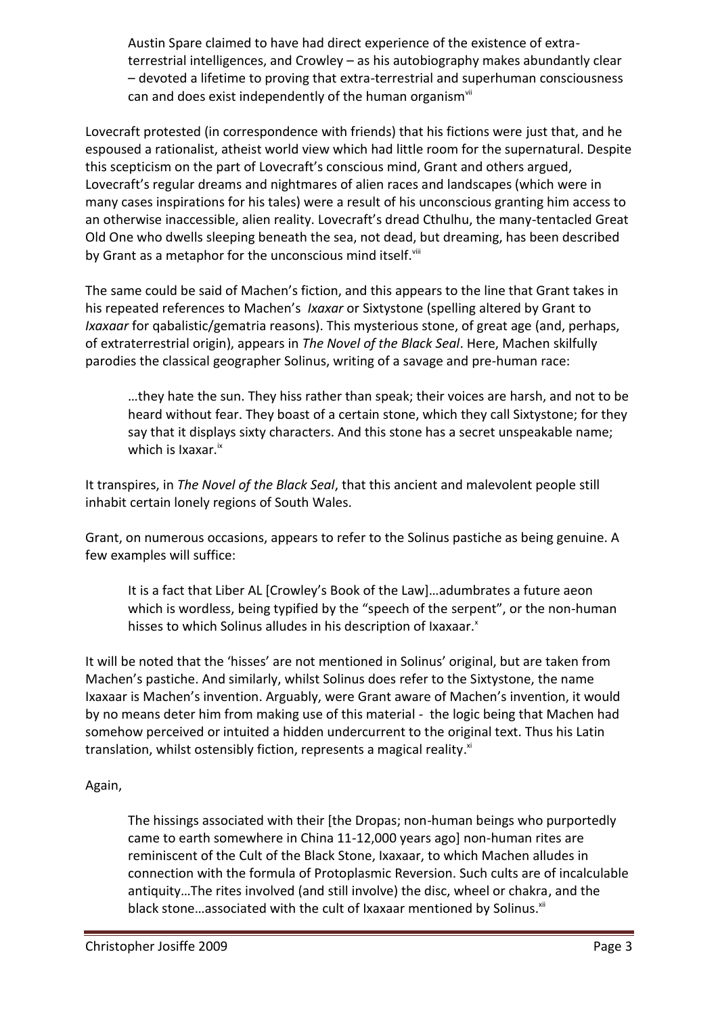Austin Spare claimed to have had direct experience of the existence of extraterrestrial intelligences, and Crowley – as his autobiography makes abundantly clear – devoted a lifetime to proving that extra-terrestrial and superhuman consciousness can and does exist independently of the human organism<sup>vii</sup>

Lovecraft protested (in correspondence with friends) that his fictions were just that, and he espoused a rationalist, atheist world view which had little room for the supernatural. Despite this scepticism on the part of Lovecraft's conscious mind, Grant and others argued, Lovecraft's regular dreams and nightmares of alien races and landscapes (which were in many cases inspirations for his tales) were a result of his unconscious granting him access to an otherwise inaccessible, alien reality. Lovecraft's dread Cthulhu, the many-tentacled Great Old One who dwells sleeping beneath the sea, not dead, but dreaming, has been described by Grant as a metaphor for the unconscious mind itself. Viii

The same could be said of Machen's fiction, and this appears to the line that Grant takes in his repeated references to Machen's *Ixaxar* or Sixtystone (spelling altered by Grant to *Ixaxaar* for qabalistic/gematria reasons). This mysterious stone, of great age (and, perhaps, of extraterrestrial origin), appears in *The Novel of the Black Seal*. Here, Machen skilfully parodies the classical geographer Solinus, writing of a savage and pre-human race:

…they hate the sun. They hiss rather than speak; their voices are harsh, and not to be heard without fear. They boast of a certain stone, which they call Sixtystone; for they say that it displays sixty characters. And this stone has a secret unspeakable name; which is Ixaxar.<sup>ix</sup>

It transpires, in *The Novel of the Black Seal*, that this ancient and malevolent people still inhabit certain lonely regions of South Wales.

Grant, on numerous occasions, appears to refer to the Solinus pastiche as being genuine. A few examples will suffice:

It is a fact that Liber AL [Crowley's Book of the Law]…adumbrates a future aeon which is wordless, being typified by the "speech of the serpent", or the non-human hisses to which Solinus alludes in his description of Ixaxaar.<sup>x</sup>

It will be noted that the 'hisses' are not mentioned in Solinus' original, but are taken from Machen's pastiche. And similarly, whilst Solinus does refer to the Sixtystone, the name Ixaxaar is Machen's invention. Arguably, were Grant aware of Machen's invention, it would by no means deter him from making use of this material - the logic being that Machen had somehow perceived or intuited a hidden undercurrent to the original text. Thus his Latin translation, whilst ostensibly fiction, represents a magical reality.<sup>xi</sup>

## Again,

The hissings associated with their [the Dropas; non-human beings who purportedly came to earth somewhere in China 11-12,000 years ago] non-human rites are reminiscent of the Cult of the Black Stone, Ixaxaar, to which Machen alludes in connection with the formula of Protoplasmic Reversion. Such cults are of incalculable antiquity…The rites involved (and still involve) the disc, wheel or chakra, and the black stone...associated with the cult of Ixaxaar mentioned by Solinus.<sup>xii</sup>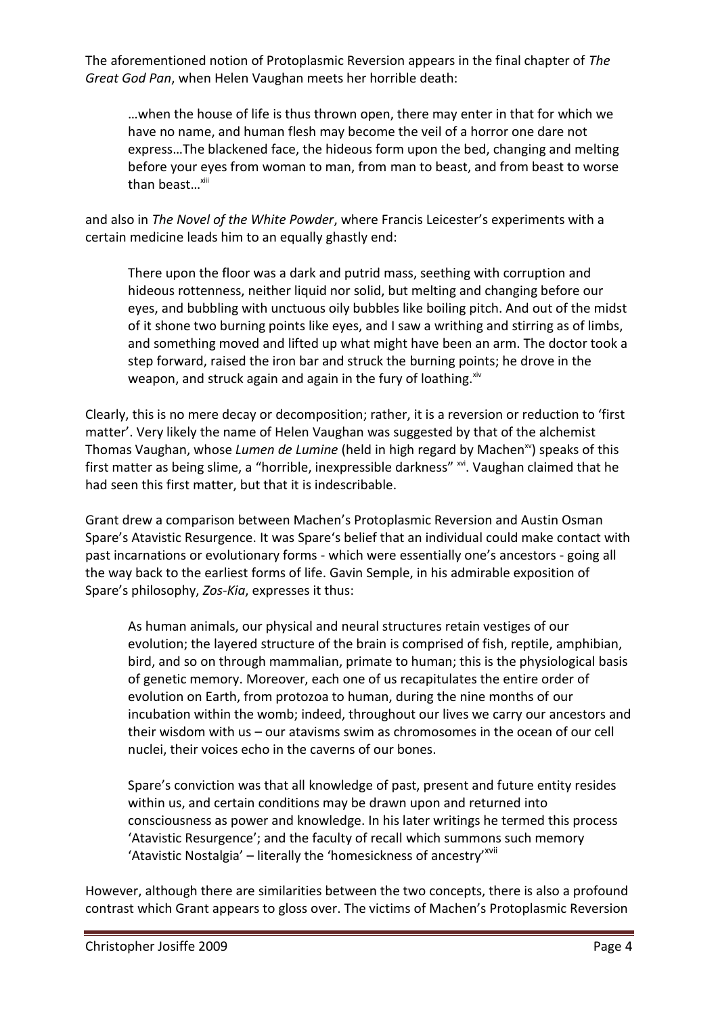The aforementioned notion of Protoplasmic Reversion appears in the final chapter of *The Great God Pan*, when Helen Vaughan meets her horrible death:

…when the house of life is thus thrown open, there may enter in that for which we have no name, and human flesh may become the veil of a horror one dare not express…The blackened face, the hideous form upon the bed, changing and melting before your eyes from woman to man, from man to beast, and from beast to worse than beast $\ldots$ <sup>xiii</sup>

and also in *The Novel of the White Powder*, where Francis Leicester's experiments with a certain medicine leads him to an equally ghastly end:

There upon the floor was a dark and putrid mass, seething with corruption and hideous rottenness, neither liquid nor solid, but melting and changing before our eyes, and bubbling with unctuous oily bubbles like boiling pitch. And out of the midst of it shone two burning points like eyes, and I saw a writhing and stirring as of limbs, and something moved and lifted up what might have been an arm. The doctor took a step forward, raised the iron bar and struck the burning points; he drove in the weapon, and struck again and again in the fury of loathing. $x^i$ 

Clearly, this is no mere decay or decomposition; rather, it is a reversion or reduction to 'first matter'. Very likely the name of Helen Vaughan was suggested by that of the alchemist Thomas Vaughan, whose Lumen de Lumine (held in high regard by Machen<sup>xv</sup>) speaks of this first matter as being slime, a "horrible, inexpressible darkness" xvi. Vaughan claimed that he had seen this first matter, but that it is indescribable.

Grant drew a comparison between Machen's Protoplasmic Reversion and Austin Osman Spare's Atavistic Resurgence. It was Spare's belief that an individual could make contact with past incarnations or evolutionary forms - which were essentially one's ancestors - going all the way back to the earliest forms of life. Gavin Semple, in his admirable exposition of Spare's philosophy, *Zos-Kia*, expresses it thus:

As human animals, our physical and neural structures retain vestiges of our evolution; the layered structure of the brain is comprised of fish, reptile, amphibian, bird, and so on through mammalian, primate to human; this is the physiological basis of genetic memory. Moreover, each one of us recapitulates the entire order of evolution on Earth, from protozoa to human, during the nine months of our incubation within the womb; indeed, throughout our lives we carry our ancestors and their wisdom with us – our atavisms swim as chromosomes in the ocean of our cell nuclei, their voices echo in the caverns of our bones.

Spare's conviction was that all knowledge of past, present and future entity resides within us, and certain conditions may be drawn upon and returned into consciousness as power and knowledge. In his later writings he termed this process 'Atavistic Resurgence'; and the faculty of recall which summons such memory 'Atavistic Nostalgia' – literally the 'homesickness of ancestry'<sup>xvii</sup>

However, although there are similarities between the two concepts, there is also a profound contrast which Grant appears to gloss over. The victims of Machen's Protoplasmic Reversion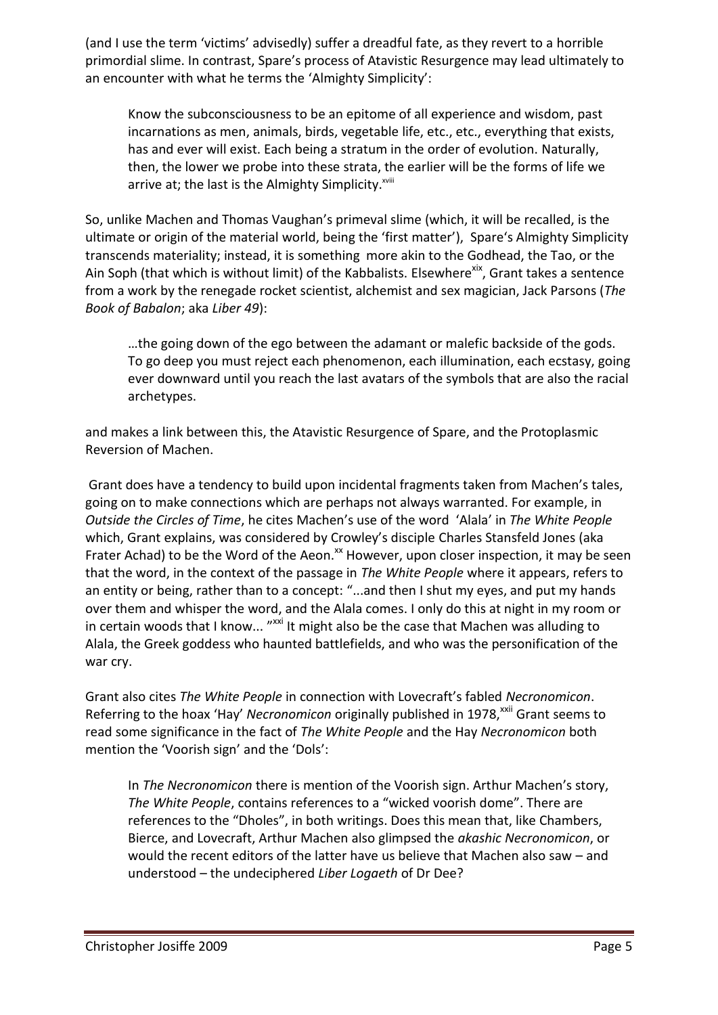(and I use the term 'victims' advisedly) suffer a dreadful fate, as they revert to a horrible primordial slime. In contrast, Spare's process of Atavistic Resurgence may lead ultimately to an encounter with what he terms the 'Almighty Simplicity':

Know the subconsciousness to be an epitome of all experience and wisdom, past incarnations as men, animals, birds, vegetable life, etc., etc., everything that exists, has and ever will exist. Each being a stratum in the order of evolution. Naturally, then, the lower we probe into these strata, the earlier will be the forms of life we arrive at; the last is the Almighty Simplicity. $x^{x}$ 

So, unlike Machen and Thomas Vaughan's primeval slime (which, it will be recalled, is the ultimate or origin of the material world, being the 'first matter'), Spare's Almighty Simplicity transcends materiality; instead, it is something more akin to the Godhead, the Tao, or the Ain Soph (that which is without limit) of the Kabbalists. Elsewhere<sup>xix</sup>, Grant takes a sentence from a work by the renegade rocket scientist, alchemist and sex magician, Jack Parsons (*The Book of Babalon*; aka *Liber 49*):

…the going down of the ego between the adamant or malefic backside of the gods. To go deep you must reject each phenomenon, each illumination, each ecstasy, going ever downward until you reach the last avatars of the symbols that are also the racial archetypes.

and makes a link between this, the Atavistic Resurgence of Spare, and the Protoplasmic Reversion of Machen.

Grant does have a tendency to build upon incidental fragments taken from Machen's tales, going on to make connections which are perhaps not always warranted. For example, in *Outside the Circles of Time*, he cites Machen's use of the word 'Alala' in *The White People* which, Grant explains, was considered by Crowley's disciple Charles Stansfeld Jones (aka Frater Achad) to be the Word of the Aeon.<sup>xx</sup> However, upon closer inspection, it may be seen that the word, in the context of the passage in *The White People* where it appears, refers to an entity or being, rather than to a concept: "...and then I shut my eyes, and put my hands over them and whisper the word, and the Alala comes. I only do this at night in my room or in certain woods that I know... "<sup>xxi</sup> It might also be the case that Machen was alluding to Alala, the Greek goddess who haunted battlefields, and who was the personification of the war cry.

Grant also cites *The White People* in connection with Lovecraft's fabled *Necronomicon*. Referring to the hoax 'Hay' *Necronomicon* originally published in 1978,<sup>xxii</sup> Grant seems to read some significance in the fact of *The White People* and the Hay *Necronomicon* both mention the 'Voorish sign' and the 'Dols':

In *The Necronomicon* there is mention of the Voorish sign. Arthur Machen's story, *The White People*, contains references to a "wicked voorish dome". There are references to the "Dholes", in both writings. Does this mean that, like Chambers, Bierce, and Lovecraft, Arthur Machen also glimpsed the *akashic Necronomicon*, or would the recent editors of the latter have us believe that Machen also saw – and understood – the undeciphered *Liber Logaeth* of Dr Dee?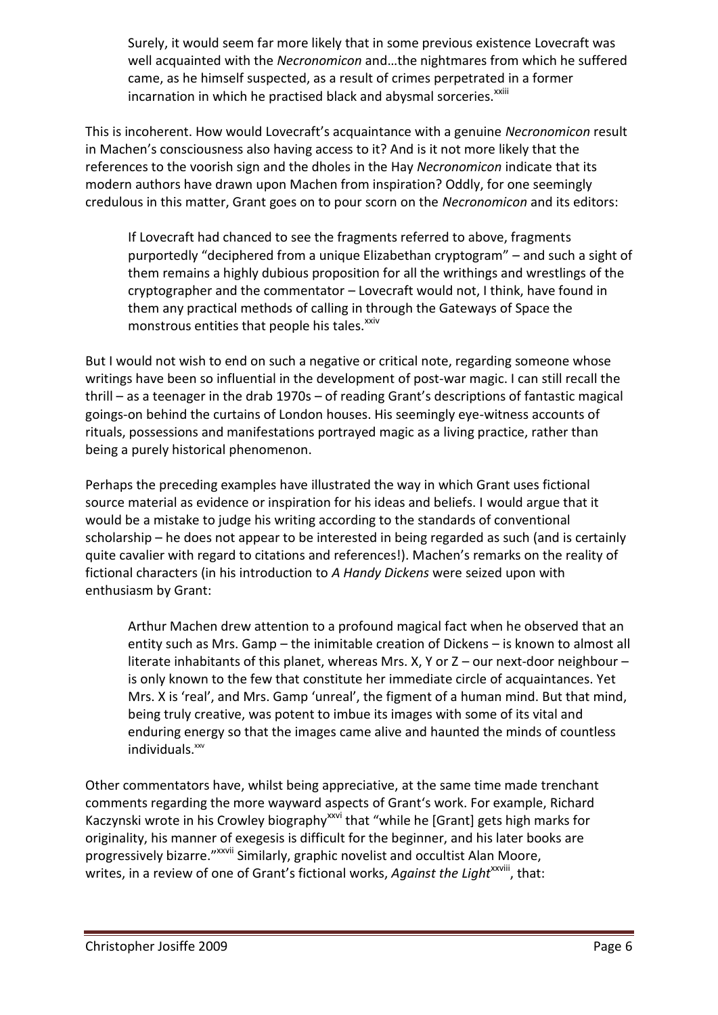Surely, it would seem far more likely that in some previous existence Lovecraft was well acquainted with the *Necronomicon* and…the nightmares from which he suffered came, as he himself suspected, as a result of crimes perpetrated in a former incarnation in which he practised black and abysmal sorceries.<sup>xxiii</sup>

This is incoherent. How would Lovecraft's acquaintance with a genuine *Necronomicon* result in Machen's consciousness also having access to it? And is it not more likely that the references to the voorish sign and the dholes in the Hay *Necronomicon* indicate that its modern authors have drawn upon Machen from inspiration? Oddly, for one seemingly credulous in this matter, Grant goes on to pour scorn on the *Necronomicon* and its editors:

If Lovecraft had chanced to see the fragments referred to above, fragments purportedly "deciphered from a unique Elizabethan cryptogram" – and such a sight of them remains a highly dubious proposition for all the writhings and wrestlings of the cryptographer and the commentator – Lovecraft would not, I think, have found in them any practical methods of calling in through the Gateways of Space the monstrous entities that people his tales.<sup>xxiv</sup>

But I would not wish to end on such a negative or critical note, regarding someone whose writings have been so influential in the development of post-war magic. I can still recall the thrill – as a teenager in the drab 1970s – of reading Grant's descriptions of fantastic magical goings-on behind the curtains of London houses. His seemingly eye-witness accounts of rituals, possessions and manifestations portrayed magic as a living practice, rather than being a purely historical phenomenon.

Perhaps the preceding examples have illustrated the way in which Grant uses fictional source material as evidence or inspiration for his ideas and beliefs. I would argue that it would be a mistake to judge his writing according to the standards of conventional scholarship – he does not appear to be interested in being regarded as such (and is certainly quite cavalier with regard to citations and references!). Machen's remarks on the reality of fictional characters (in his introduction to *A Handy Dickens* were seized upon with enthusiasm by Grant:

Arthur Machen drew attention to a profound magical fact when he observed that an entity such as Mrs. Gamp – the inimitable creation of Dickens – is known to almost all literate inhabitants of this planet, whereas Mrs. X, Y or  $Z$  – our next-door neighbour – is only known to the few that constitute her immediate circle of acquaintances. Yet Mrs. X is 'real', and Mrs. Gamp 'unreal', the figment of a human mind. But that mind, being truly creative, was potent to imbue its images with some of its vital and enduring energy so that the images came alive and haunted the minds of countless individuals.xxv

Other commentators have, whilst being appreciative, at the same time made trenchant comments regarding the more wayward aspects of Grant's work. For example, Richard Kaczynski wrote in his Crowley biography<sup>xxvi</sup> that "while he [Grant] gets high marks for originality, his manner of exegesis is difficult for the beginner, and his later books are progressively bizarre."<sup>xxvii</sup> Similarly, graphic novelist and occultist Alan Moore, writes, in a review of one of Grant's fictional works, *Against the Light<sup>xxviii</sup>*, that: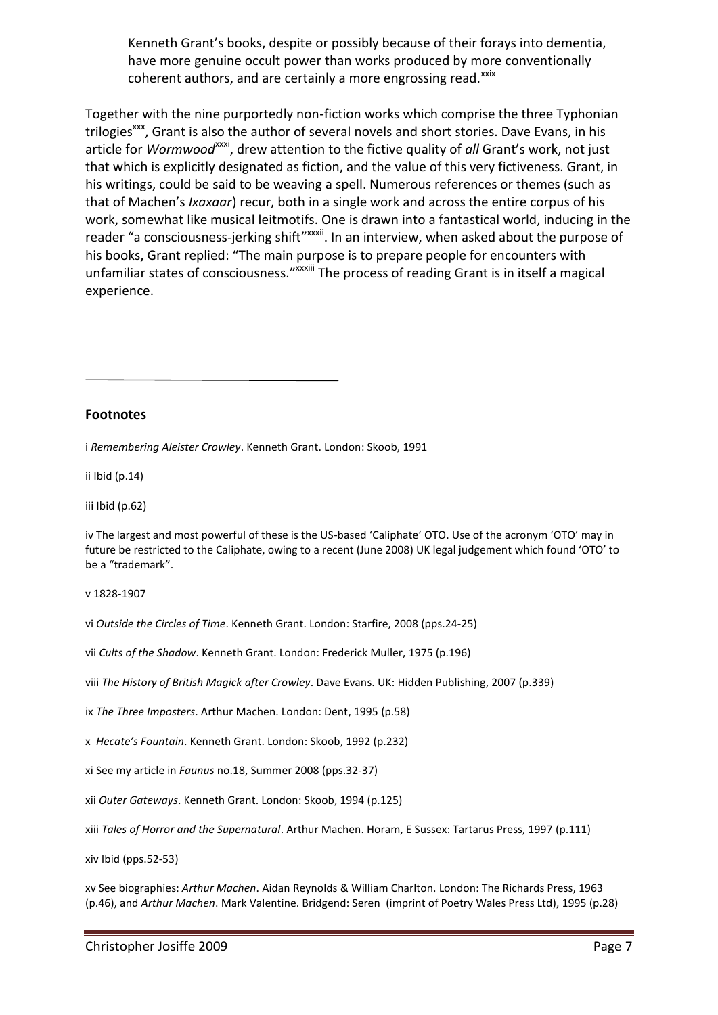Kenneth Grant's books, despite or possibly because of their forays into dementia, have more genuine occult power than works produced by more conventionally coherent authors, and are certainly a more engrossing read.<sup>xxix</sup>

Together with the nine purportedly non-fiction works which comprise the three Typhonian trilogies<sup>xxx</sup>, Grant is also the author of several novels and short stories. Dave Evans, in his article for *Wormwood*<sup>xxxi</sup>, drew attention to the fictive quality of *all* Grant's work, not just that which is explicitly designated as fiction, and the value of this very fictiveness. Grant, in his writings, could be said to be weaving a spell. Numerous references or themes (such as that of Machen's *Ixaxaar*) recur, both in a single work and across the entire corpus of his work, somewhat like musical leitmotifs. One is drawn into a fantastical world, inducing in the reader "a consciousness-jerking shift"<sup>xxxii</sup>. In an interview, when asked about the purpose of his books, Grant replied: "The main purpose is to prepare people for encounters with unfamiliar states of consciousness." XXXXIII The process of reading Grant is in itself a magical experience.

#### **Footnotes**

i *Remembering Aleister Crowley*. Kenneth Grant. London: Skoob, 1991

ii Ibid (p.14)

iii Ibid (p.62)

iv The largest and most powerful of these is the US-based 'Caliphate' OTO. Use of the acronym 'OTO' may in future be restricted to the Caliphate, owing to a recent (June 2008) UK legal judgement which found 'OTO' to be a "trademark".

v 1828-1907

vi *Outside the Circles of Time*. Kenneth Grant. London: Starfire, 2008 (pps.24-25)

vii *Cults of the Shadow*. Kenneth Grant. London: Frederick Muller, 1975 (p.196)

viii *The History of British Magick after Crowley*. Dave Evans. UK: Hidden Publishing, 2007 (p.339)

ix *The Three Imposters*. Arthur Machen. London: Dent, 1995 (p.58)

x *Hecate's Fountain*. Kenneth Grant. London: Skoob, 1992 (p.232)

xi See my article in *Faunus* no.18, Summer 2008 (pps.32-37)

xii *Outer Gateways*. Kenneth Grant. London: Skoob, 1994 (p.125)

xiii *Tales of Horror and the Supernatural*. Arthur Machen. Horam, E Sussex: Tartarus Press, 1997 (p.111)

xiv Ibid (pps.52-53)

xv See biographies: *Arthur Machen*. Aidan Reynolds & William Charlton. London: The Richards Press, 1963 (p.46), and *Arthur Machen*. Mark Valentine. Bridgend: Seren (imprint of Poetry Wales Press Ltd), 1995 (p.28)